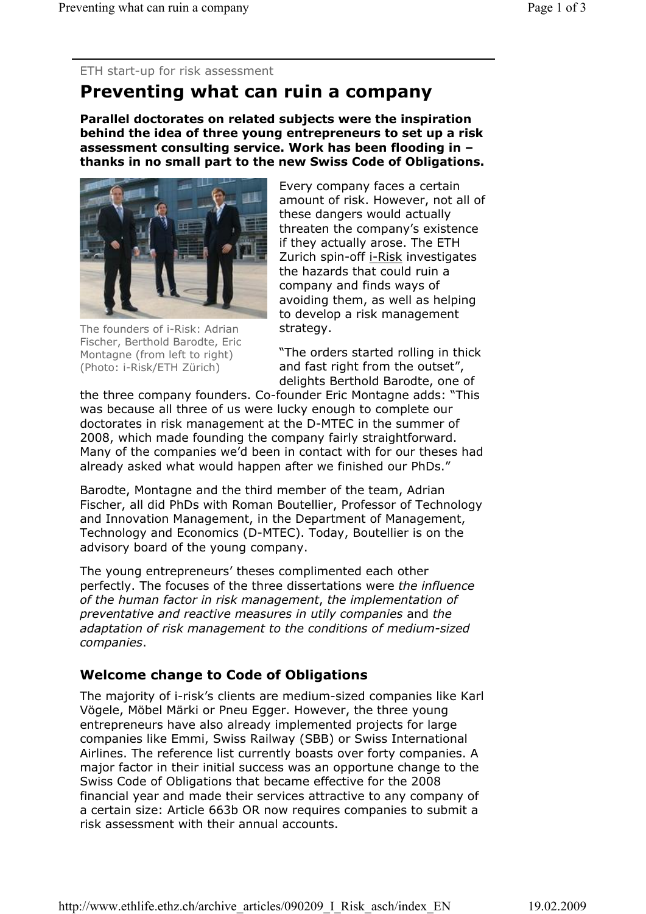ETH start-up for risk assessment

# **Preventing what can ruin a company**

**Parallel doctorates on related subjects were the inspiration behind the idea of three young entrepreneurs to set up a risk assessment consulting service. Work has been flooding in – thanks in no small part to the new Swiss Code of Obligations.** 



The founders of i-Risk: Adrian Fischer, Berthold Barodte, Eric Montagne (from left to right) (Photo: i-Risk/ETH Zürich)

Every company faces a certain amount of risk. However, not all of these dangers would actually threaten the company's existence if they actually arose. The ETH Zurich spin-off i-Risk investigates the hazards that could ruin a company and finds ways of avoiding them, as well as helping to develop a risk management strategy.

"The orders started rolling in thick and fast right from the outset", delights Berthold Barodte, one of

the three company founders. Co-founder Eric Montagne adds: "This was because all three of us were lucky enough to complete our doctorates in risk management at the D-MTEC in the summer of 2008, which made founding the company fairly straightforward. Many of the companies we'd been in contact with for our theses had already asked what would happen after we finished our PhDs."

Barodte, Montagne and the third member of the team, Adrian Fischer, all did PhDs with Roman Boutellier, Professor of Technology and Innovation Management, in the Department of Management, Technology and Economics (D-MTEC). Today, Boutellier is on the advisory board of the young company.

The young entrepreneurs' theses complimented each other perfectly. The focuses of the three dissertations were *the influence of the human factor in risk management*, *the implementation of preventative and reactive measures in utily companies* and *the adaptation of risk management to the conditions of medium-sized companies*.

# **Welcome change to Code of Obligations**

The majority of i-risk's clients are medium-sized companies like Karl Vögele, Möbel Märki or Pneu Egger. However, the three young entrepreneurs have also already implemented projects for large companies like Emmi, Swiss Railway (SBB) or Swiss International Airlines. The reference list currently boasts over forty companies. A major factor in their initial success was an opportune change to the Swiss Code of Obligations that became effective for the 2008 financial year and made their services attractive to any company of a certain size: Article 663b OR now requires companies to submit a risk assessment with their annual accounts.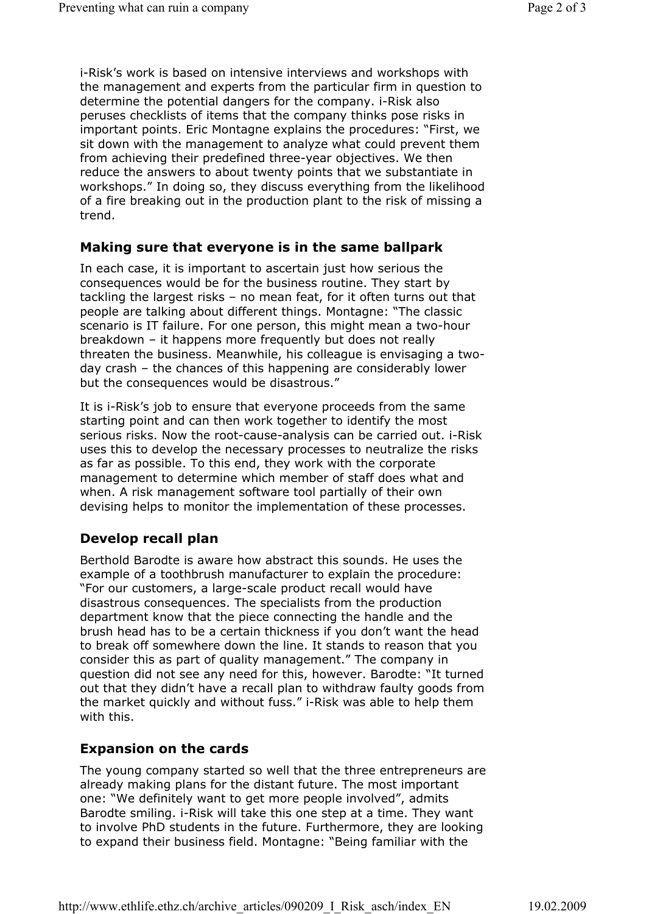i-Risk's work is based on intensive interviews and workshops with the management and experts from the particular firm in question to determine the potential dangers for the company. i-Risk also peruses checklists of items that the company thinks pose risks in important points. Eric Montagne explains the procedures: "First, we sit down with the management to analyze what could prevent them from achieving their predefined three-year objectives. We then reduce the answers to about twenty points that we substantiate in workshops." In doing so, they discuss everything from the likelihood of a fire breaking out in the production plant to the risk of missing a trend.

#### **Making sure that everyone is in the same ballpark**

In each case, it is important to ascertain just how serious the consequences would be for the business routine. They start by tackling the largest risks – no mean feat, for it often turns out that people are talking about different things. Montagne: "The classic scenario is IT failure. For one person, this might mean a two-hour breakdown – it happens more frequently but does not really threaten the business. Meanwhile, his colleague is envisaging a twoday crash – the chances of this happening are considerably lower but the consequences would be disastrous."

It is i-Risk's job to ensure that everyone proceeds from the same starting point and can then work together to identify the most serious risks. Now the root-cause-analysis can be carried out. i-Risk uses this to develop the necessary processes to neutralize the risks as far as possible. To this end, they work with the corporate management to determine which member of staff does what and when. A risk management software tool partially of their own devising helps to monitor the implementation of these processes.

## **Develop recall plan**

Berthold Barodte is aware how abstract this sounds. He uses the example of a toothbrush manufacturer to explain the procedure: "For our customers, a large-scale product recall would have disastrous consequences. The specialists from the production department know that the piece connecting the handle and the brush head has to be a certain thickness if you don't want the head to break off somewhere down the line. It stands to reason that you consider this as part of quality management." The company in question did not see any need for this, however. Barodte: "It turned out that they didn't have a recall plan to withdraw faulty goods from the market quickly and without fuss." i-Risk was able to help them with this.

## **Expansion on the cards**

The young company started so well that the three entrepreneurs are already making plans for the distant future. The most important one: "We definitely want to get more people involved", admits Barodte smiling. i-Risk will take this one step at a time. They want to involve PhD students in the future. Furthermore, they are looking to expand their business field. Montagne: "Being familiar with the